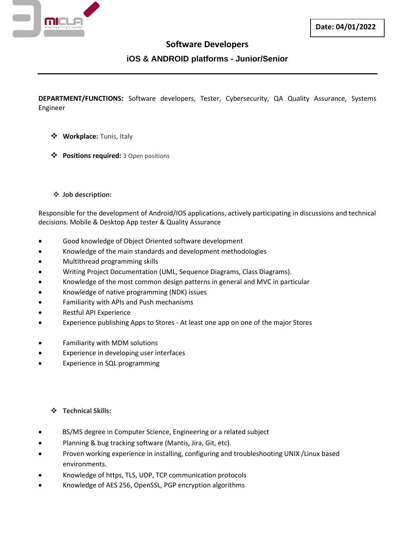

# **Software Developers**

## **iOS & ANDROID platforms - Junior/Senior**

**DEPARTMENT/FUNCTIONS:** Software developers, Tester, Cybersecurity, QA Quality Assurance, Systems Engineer

- ❖ **Workplace:** Tunis, Italy
- ❖ **Positions required:** 3 Open positions
- ❖ **Job description:**

Responsible for the development of Android/IOS applications, actively participating in discussions and technical decisions. Mobile & Desktop App tester & Quality Assurance

- Good knowledge of Object Oriented software development
- Knowledge of the main standards and development methodologies
- Multithread programming skills
- Writing Project Documentation (UML, Sequence Diagrams, Class Diagrams).
- Knowledge of the most common design patterns in general and MVC in particular
- Knowledge of native programming (NDK) issues
- Familiarity with APIs and Push mechanisms
- Restful API Experience
- Experience publishing Apps to Stores At least one app on one of the major Stores
- Familiarity with MDM solutions
- Experience in developing user interfaces
- Experience in SQL programming

### ❖ **Technical Skills:**

- BS/MS degree in Computer Science, Engineering or a related subject
- Planning & bug tracking software (Mantis, Jira, Git, etc).
- Proven working experience in installing, configuring and troubleshooting UNIX /Linux based environments.
- Knowledge of https, TLS, UDP, TCP communication protocols
- Knowledge of AES 256, OpenSSL, PGP encryption algorithms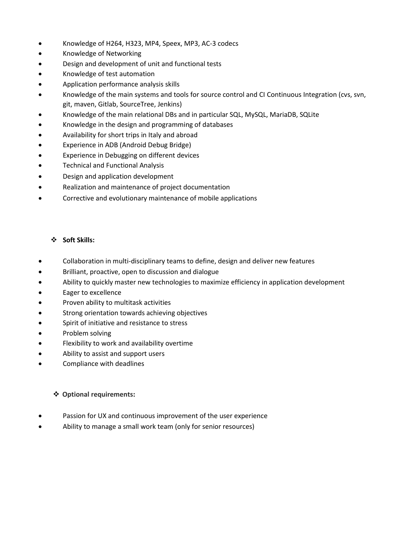- Knowledge of H264, H323, MP4, Speex, MP3, AC-3 codecs
- Knowledge of Networking
- Design and development of unit and functional tests
- Knowledge of test automation
- Application performance analysis skills
- Knowledge of the main systems and tools for source control and CI Continuous Integration (cvs, svn, git, maven, Gitlab, SourceTree, Jenkins)
- Knowledge of the main relational DBs and in particular SQL, MySQL, MariaDB, SQLite
- Knowledge in the design and programming of databases
- Availability for short trips in Italy and abroad
- Experience in ADB (Android Debug Bridge)
- Experience in Debugging on different devices
- Technical and Functional Analysis
- Design and application development
- Realization and maintenance of project documentation
- Corrective and evolutionary maintenance of mobile applications

#### ❖ **Soft Skills:**

- Collaboration in multi-disciplinary teams to define, design and deliver new features
- Brilliant, proactive, open to discussion and dialogue
- Ability to quickly master new technologies to maximize efficiency in application development
- Eager to excellence
- Proven ability to multitask activities
- Strong orientation towards achieving objectives
- Spirit of initiative and resistance to stress
- Problem solving
- Flexibility to work and availability overtime
- Ability to assist and support users
- Compliance with deadlines

### ❖ **Optional requirements:**

- Passion for UX and continuous improvement of the user experience
- Ability to manage a small work team (only for senior resources)